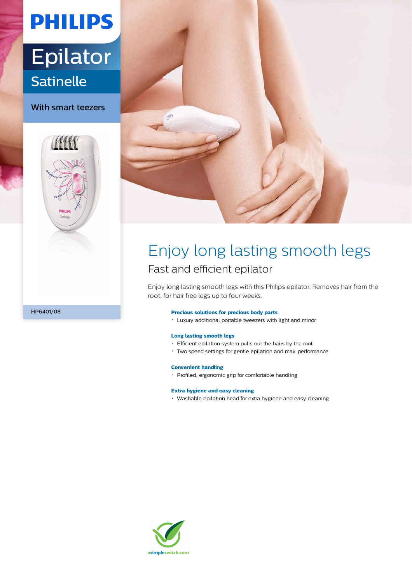# **PHILIPS**

# Epilator **Satinelle**

With smart teezers





### Enjoy long lasting smooth legs Fast and efficient epilator

Enjoy long lasting smooth legs with this Philips epilator. Removes hair from the root, for hair free legs up to four weeks.

#### **Precious solutions for precious body parts**

Luxury additional portable tweezers with light and mirror

#### **Long lasting smooth legs**

- Efficient epilation system pulls out the hairs by the root
- Two speed settings for gentle epilation and max. performance

#### **Convenient handling**

Profiled, ergonomic grip for comfortable handling

#### **Extra hygiene and easy cleaning**

Washable epilation head for extra hygiene and easy cleaning



HP6401/08